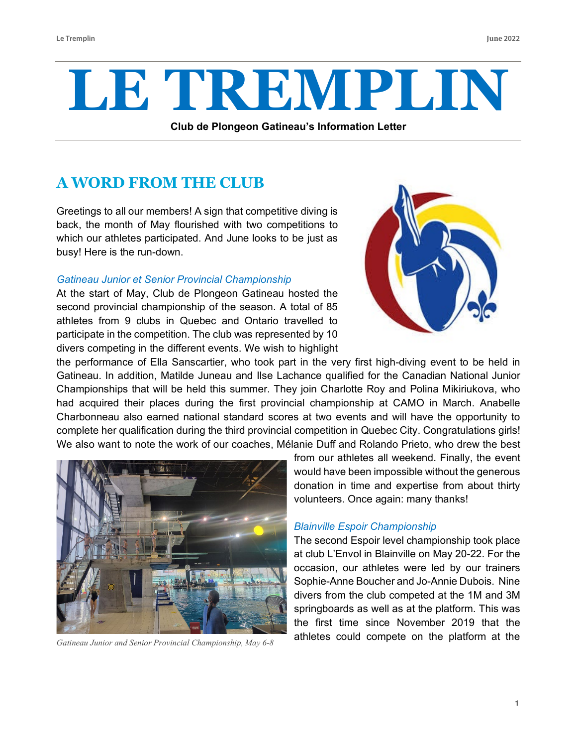# **LE TREMPLIN**

**Club de Plongeon Gatineau's Information Letter**

# **A WORD FROM THE CLUB**

Greetings to all our members! A sign that competitive diving is back, the month of May flourished with two competitions to which our athletes participated. And June looks to be just as busy! Here is the run-down.

#### *Gatineau Junior et Senior Provincial Championship*

At the start of May, Club de Plongeon Gatineau hosted the second provincial championship of the season. A total of 85 athletes from 9 clubs in Quebec and Ontario travelled to participate in the competition. The club was represented by 10 divers competing in the different events. We wish to highlight



the performance of Ella Sanscartier, who took part in the very first high-diving event to be held in Gatineau. In addition, Matilde Juneau and Ilse Lachance qualified for the Canadian National Junior Championships that will be held this summer. They join Charlotte Roy and Polina Mikiriukova, who had acquired their places during the first provincial championship at CAMO in March. Anabelle Charbonneau also earned national standard scores at two events and will have the opportunity to complete her qualification during the third provincial competition in Quebec City. Congratulations girls! We also want to note the work of our coaches, Mélanie Duff and Rolando Prieto, who drew the best



*Gatineau Junior and Senior Provincial Championship, May 6-8*

from our athletes all weekend. Finally, the event would have been impossible without the generous donation in time and expertise from about thirty volunteers. Once again: many thanks!

#### *Blainville Espoir Championship*

The second Espoir level championship took place at club L'Envol in Blainville on May 20-22. For the occasion, our athletes were led by our trainers Sophie-Anne Boucher and Jo-Annie Dubois. Nine divers from the club competed at the 1M and 3M springboards as well as at the platform. This was the first time since November 2019 that the athletes could compete on the platform at the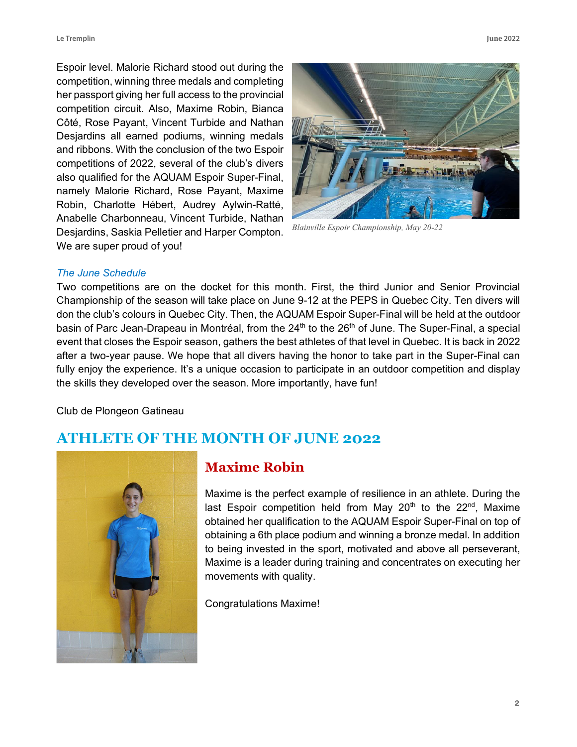Espoir level. Malorie Richard stood out during the competition, winning three medals and completing her passport giving her full access to the provincial competition circuit. Also, Maxime Robin, Bianca Côté, Rose Payant, Vincent Turbide and Nathan Desjardins all earned podiums, winning medals and ribbons. With the conclusion of the two Espoir competitions of 2022, several of the club's divers also qualified for the AQUAM Espoir Super-Final, namely Malorie Richard, Rose Payant, Maxime Robin, Charlotte Hébert, Audrey Aylwin-Ratté, Anabelle Charbonneau, Vincent Turbide, Nathan Desjardins, Saskia Pelletier and Harper Compton. We are super proud of you!





*Blainville Espoir Championship, May 20-22*

#### *The June Schedule*

Two competitions are on the docket for this month. First, the third Junior and Senior Provincial Championship of the season will take place on June 9-12 at the PEPS in Quebec City. Ten divers will don the club's colours in Quebec City. Then, the AQUAM Espoir Super-Final will be held at the outdoor basin of Parc Jean-Drapeau in Montréal, from the  $24<sup>th</sup>$  to the  $26<sup>th</sup>$  of June. The Super-Final, a special event that closes the Espoir season, gathers the best athletes of that level in Quebec. It is back in 2022 after a two-year pause. We hope that all divers having the honor to take part in the Super-Final can fully enjoy the experience. It's a unique occasion to participate in an outdoor competition and display the skills they developed over the season. More importantly, have fun!

Club de Plongeon Gatineau

### **ATHLETE OF THE MONTH OF JUNE 2022**



#### **Maxime Robin**

Maxime is the perfect example of resilience in an athlete. During the last Espoir competition held from May  $20<sup>th</sup>$  to the  $22<sup>nd</sup>$ , Maxime obtained her qualification to the AQUAM Espoir Super-Final on top of obtaining a 6th place podium and winning a bronze medal. In addition to being invested in the sport, motivated and above all perseverant, Maxime is a leader during training and concentrates on executing her movements with quality.

Congratulations Maxime!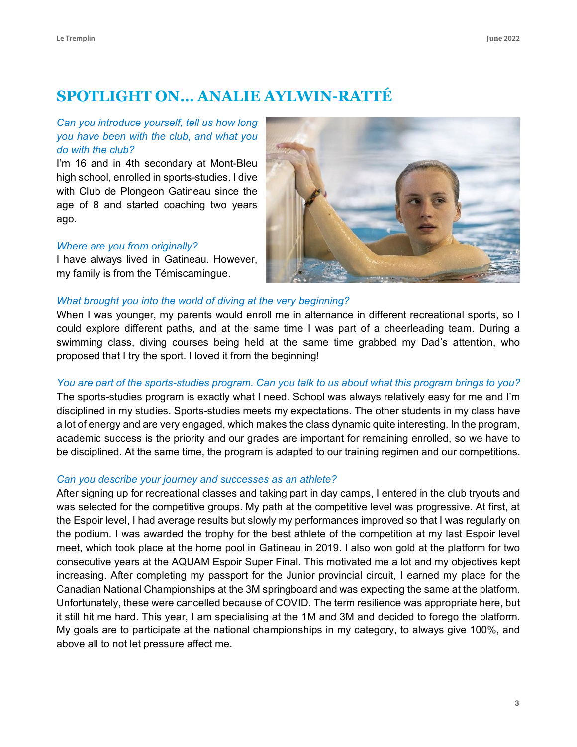## **SPOTLIGHT ON… ANALIE AYLWIN-RATTÉ**

#### *Can you introduce yourself, tell us how long you have been with the club, and what you do with the club?*

I'm 16 and in 4th secondary at Mont-Bleu high school, enrolled in sports-studies. I dive with Club de Plongeon Gatineau since the age of 8 and started coaching two years ago.

#### *Where are you from originally?*

I have always lived in Gatineau. However, my family is from the Témiscamingue.



#### *What brought you into the world of diving at the very beginning?*

When I was younger, my parents would enroll me in alternance in different recreational sports, so I could explore different paths, and at the same time I was part of a cheerleading team. During a swimming class, diving courses being held at the same time grabbed my Dad's attention, who proposed that I try the sport. I loved it from the beginning!

#### You are part of the sports-studies program. Can you talk to us about what this program brings to you?

The sports-studies program is exactly what I need. School was always relatively easy for me and I'm disciplined in my studies. Sports-studies meets my expectations. The other students in my class have a lot of energy and are very engaged, which makes the class dynamic quite interesting. In the program, academic success is the priority and our grades are important for remaining enrolled, so we have to be disciplined. At the same time, the program is adapted to our training regimen and our competitions.

#### *Can you describe your journey and successes as an athlete?*

After signing up for recreational classes and taking part in day camps, I entered in the club tryouts and was selected for the competitive groups. My path at the competitive level was progressive. At first, at the Espoir level, I had average results but slowly my performances improved so that I was regularly on the podium. I was awarded the trophy for the best athlete of the competition at my last Espoir level meet, which took place at the home pool in Gatineau in 2019. I also won gold at the platform for two consecutive years at the AQUAM Espoir Super Final. This motivated me a lot and my objectives kept increasing. After completing my passport for the Junior provincial circuit, I earned my place for the Canadian National Championships at the 3M springboard and was expecting the same at the platform. Unfortunately, these were cancelled because of COVID. The term resilience was appropriate here, but it still hit me hard. This year, I am specialising at the 1M and 3M and decided to forego the platform. My goals are to participate at the national championships in my category, to always give 100%, and above all to not let pressure affect me.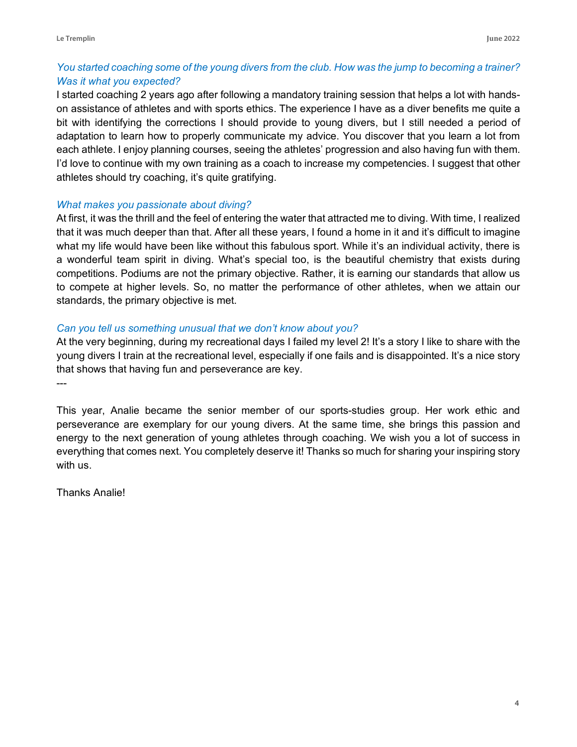#### You started coaching some of the young divers from the club. How was the jump to becoming a trainer? *Was it what you expected?*

I started coaching 2 years ago after following a mandatory training session that helps a lot with handson assistance of athletes and with sports ethics. The experience I have as a diver benefits me quite a bit with identifying the corrections I should provide to young divers, but I still needed a period of adaptation to learn how to properly communicate my advice. You discover that you learn a lot from each athlete. I enjoy planning courses, seeing the athletes' progression and also having fun with them. I'd love to continue with my own training as a coach to increase my competencies. I suggest that other athletes should try coaching, it's quite gratifying.

#### *What makes you passionate about diving?*

At first, it was the thrill and the feel of entering the water that attracted me to diving. With time, I realized that it was much deeper than that. After all these years, I found a home in it and it's difficult to imagine what my life would have been like without this fabulous sport. While it's an individual activity, there is a wonderful team spirit in diving. What's special too, is the beautiful chemistry that exists during competitions. Podiums are not the primary objective. Rather, it is earning our standards that allow us to compete at higher levels. So, no matter the performance of other athletes, when we attain our standards, the primary objective is met.

#### *Can you tell us something unusual that we don't know about you?*

At the very beginning, during my recreational days I failed my level 2! It's a story I like to share with the young divers I train at the recreational level, especially if one fails and is disappointed. It's a nice story that shows that having fun and perseverance are key.

---

This year, Analie became the senior member of our sports-studies group. Her work ethic and perseverance are exemplary for our young divers. At the same time, she brings this passion and energy to the next generation of young athletes through coaching. We wish you a lot of success in everything that comes next. You completely deserve it! Thanks so much for sharing your inspiring story with us.

Thanks Analie!